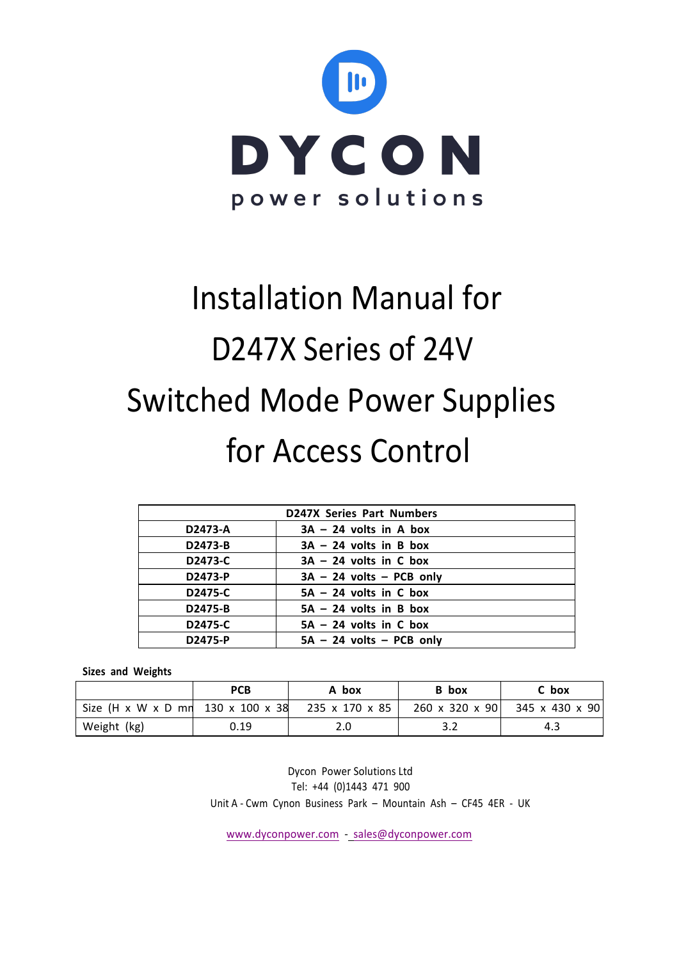

# Installation Manual for D247X Series of 24V Switched Mode Power Supplies for Access Control

| <b>D247X Series Part Numbers</b> |                            |  |  |
|----------------------------------|----------------------------|--|--|
| D2473-A                          | $3A - 24$ volts in A box   |  |  |
| D2473-B                          | $3A - 24$ volts in B box   |  |  |
| D2473-C                          | $3A - 24$ volts in C box   |  |  |
| D2473-P                          | $3A - 24$ volts - PCB only |  |  |
| D2475-C                          | $5A - 24$ volts in C box   |  |  |
| D2475-B                          | $5A - 24$ volts in B box   |  |  |
| D2475-C                          | $5A - 24$ volts in C box   |  |  |
| D2475-P                          | $5A - 24$ volts - PCB only |  |  |

# **Sizes and Weights**

|                                   | <b>PCB</b> | A box          | B box                      | C box          |
|-----------------------------------|------------|----------------|----------------------------|----------------|
| Size (H x W x D mn 130 x 100 x 38 |            | 235 x 170 x 85 | $260 \times 320 \times 90$ | 345 x 430 x 90 |
| Weight (kg)                       | 0.19       | 2.0            |                            | 4.3            |

Dycon Power Solutions Ltd Tel: +44 (0)1443 471 900 Unit A - Cwm Cynon Business Park - Mountain Ash - CF45 4ER - UK

www.dyconpower.com - sales@dyconpower.com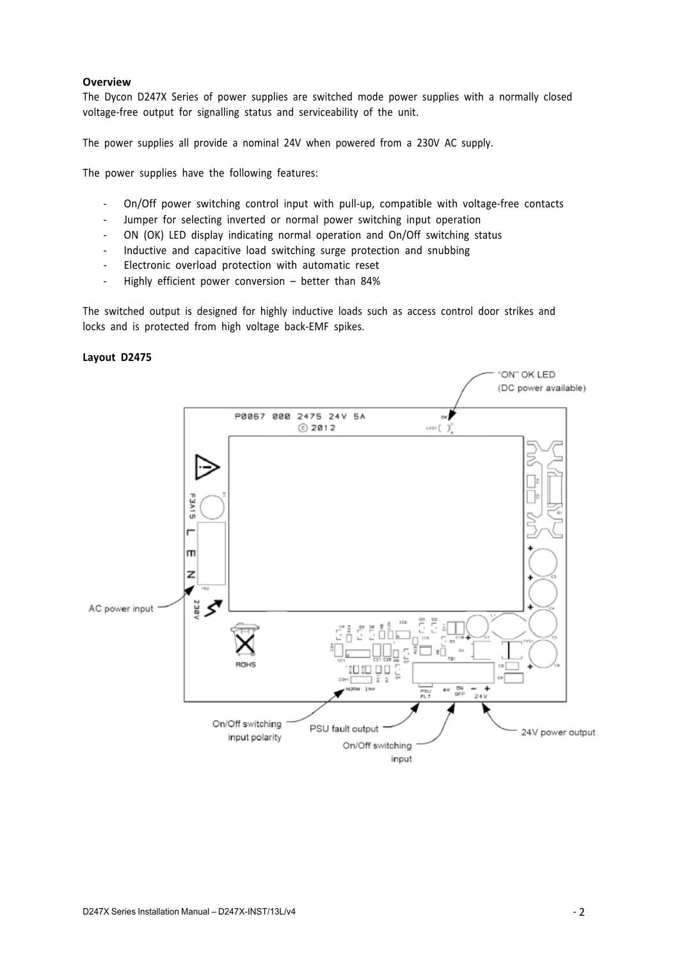## **Overview**

The Dycon D247X Series of power supplies are switched mode power supplies with a normally closed voltage-free output for signalling status and serviceability of the unit.

The power supplies all provide a nominal 24V when powered from a 230V AC supply.

The power supplies have the following features:

- On/Off power switching control input with pull-up, compatible with voltage-free contacts
- Jumper for selecting inverted or normal power switching input operation
- ON (OK) LED display indicating normal operation and On/Off switching status
- Inductive and capacitive load switching surge protection and snubbing
- Electronic overload protection with automatic reset
- Highly efficient power conversion better than 84%

The switched output is designed for highly inductive loads such as access control door strikes and locks and is protected from high voltage back-EMF spikes.

#### **Layout D2475**

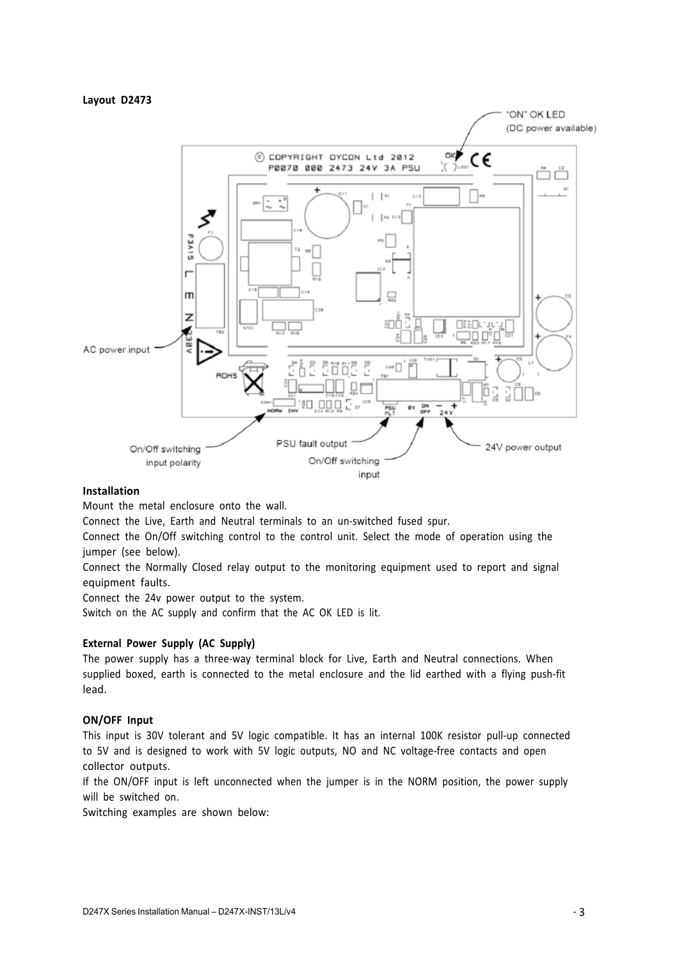#### **Layout D2473**



#### **Installation**

Mount the metal enclosure onto the wall.

Connect the Live, Earth and Neutral terminals to an un-switched fused spur.

Connect the On/Off switching control to the control unit. Select the mode of operation using the jumper (see below).

Connect the Normally Closed relay output to the monitoring equipment used to report and signal equipment faults.

Connect the 24v power output to the system.

Switch on the AC supply and confirm that the AC OK LED is lit.

## **External Power Supply (AC Supply)**

The power supply has a three-way terminal block for Live, Earth and Neutral connections. When supplied boxed, earth is connected to the metal enclosure and the lid earthed with a flying push-fit lead.

#### **ON/OFF Input**

This input is 30V tolerant and 5V logic compatible. It has an internal 100K resistor pull-up connected to 5V and is designed to work with 5V logic outputs, NO and NC voltage-free contacts and open collector outputs.

If the ON/OFF input is left unconnected when the jumper is in the NORM position, the power supply will be switched on.

Switching examples are shown below: